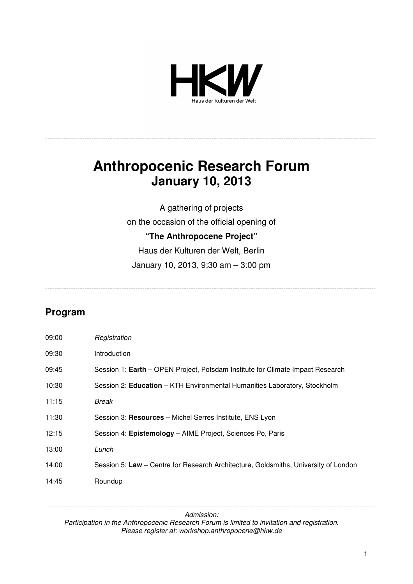

-----------------------------------------------------------------------------------------------------------------------------------------------

# **Anthropocenic Research Forum January 10, 2013**

A gathering of projects on the occasion of the official opening of **"The Anthropocene Project"**  Haus der Kulturen der Welt, Berlin January 10, 2013, 9:30 am – 3:00 pm

-----------------------------------------------------------------------------------------------------------------------------------------------

# **Program**

| 09:00 | Registration                                                                        |
|-------|-------------------------------------------------------------------------------------|
| 09:30 | <b>Introduction</b>                                                                 |
| 09:45 | Session 1: Earth – OPEN Project, Potsdam Institute for Climate Impact Research      |
| 10:30 | Session 2: Education - KTH Environmental Humanities Laboratory, Stockholm           |
| 11:15 | Break                                                                               |
| 11:30 | Session 3: Resources - Michel Serres Institute, ENS Lyon                            |
| 12:15 | Session 4: Epistemology - AIME Project, Sciences Po, Paris                          |
| 13:00 | Lunch                                                                               |
| 14:00 | Session 5: Law - Centre for Research Architecture, Goldsmiths, University of London |
| 14:45 | Roundup                                                                             |

*Admission: Participation in the Anthropocenic Research Forum is limited to invitation and registration. Please register at: workshop.anthropocene@hkw.de* 

-----------------------------------------------------------------------------------------------------------------------------------------------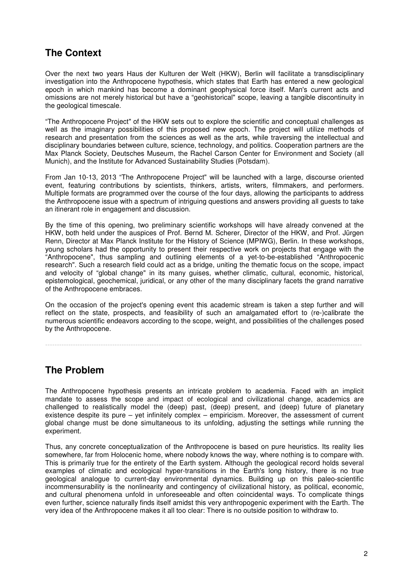# **The Context**

Over the next two years Haus der Kulturen der Welt (HKW), Berlin will facilitate a transdisciplinary investigation into the Anthropocene hypothesis, which states that Earth has entered a new geological epoch in which mankind has become a dominant geophysical force itself. Man's current acts and omissions are not merely historical but have a "geohistorical" scope, leaving a tangible discontinuity in the geological timescale.

"The Anthropocene Project" of the HKW sets out to explore the scientific and conceptual challenges as well as the imaginary possibilities of this proposed new epoch. The project will utilize methods of research and presentation from the sciences as well as the arts, while traversing the intellectual and disciplinary boundaries between culture, science, technology, and politics. Cooperation partners are the Max Planck Society, Deutsches Museum, the Rachel Carson Center for Environment and Society (all Munich), and the Institute for Advanced Sustainability Studies (Potsdam).

From Jan 10-13, 2013 "The Anthropocene Project" will be launched with a large, discourse oriented event, featuring contributions by scientists, thinkers, artists, writers, filmmakers, and performers. Multiple formats are programmed over the course of the four days, allowing the participants to address the Anthropocene issue with a spectrum of intriguing questions and answers providing all guests to take an itinerant role in engagement and discussion.

By the time of this opening, two preliminary scientific workshops will have already convened at the HKW, both held under the auspices of Prof. Bernd M. Scherer, Director of the HKW, and Prof. Jürgen Renn, Director at Max Planck Institute for the History of Science (MPIWG), Berlin. In these workshops, young scholars had the opportunity to present their respective work on projects that engage with the "Anthropocene", thus sampling and outlining elements of a yet-to-be-established "Anthropocenic research". Such a research field could act as a bridge, uniting the thematic focus on the scope, impact and velocity of "global change" in its many guises, whether climatic, cultural, economic, historical, epistemological, geochemical, juridical, or any other of the many disciplinary facets the grand narrative of the Anthropocene embraces.

On the occasion of the project's opening event this academic stream is taken a step further and will reflect on the state, prospects, and feasibility of such an amalgamated effort to (re-)calibrate the numerous scientific endeavors according to the scope, weight, and possibilities of the challenges posed by the Anthropocene.

-----------------------------------------------------------------------------------------------------------------------------------------

### **The Problem**

The Anthropocene hypothesis presents an intricate problem to academia. Faced with an implicit mandate to assess the scope and impact of ecological and civilizational change, academics are challenged to realistically model the (deep) past, (deep) present, and (deep) future of planetary existence despite its pure – yet infinitely complex – empiricism. Moreover, the assessment of current global change must be done simultaneous to its unfolding, adjusting the settings while running the experiment.

Thus, any concrete conceptualization of the Anthropocene is based on pure heuristics. Its reality lies somewhere, far from Holocenic home, where nobody knows the way, where nothing is to compare with. This is primarily true for the entirety of the Earth system. Although the geological record holds several examples of climatic and ecological hyper-transitions in the Earth's long history, there is no true geological analogue to current-day environmental dynamics. Building up on this paleo-scientific incommensurability is the nonlinearity and contingency of civilizational history, as political, economic, and cultural phenomena unfold in unforeseeable and often coincidental ways. To complicate things even further, science naturally finds itself amidst this very anthropogenic experiment with the Earth. The very idea of the Anthropocene makes it all too clear: There is no outside position to withdraw to.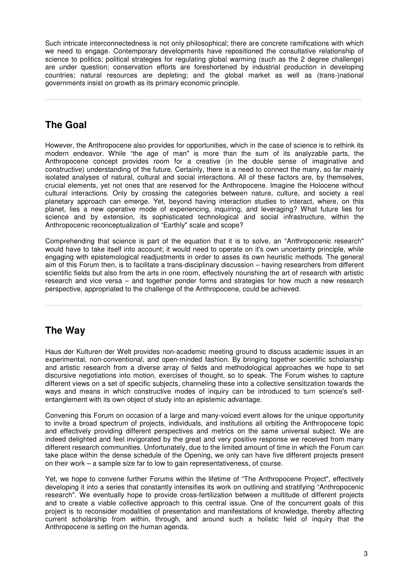Such intricate interconnectedness is not only philosophical; there are concrete ramifications with which we need to engage. Contemporary developments have repositioned the consultative relationship of science to politics; political strategies for regulating global warming (such as the 2 degree challenge) are under question; conservation efforts are foreshortened by industrial production in developing countries; natural resources are depleting; and the global market as well as (trans-)national governments insist on growth as its primary economic principle.

-----------------------------------------------------------------------------------------------------------------------------------------

# **The Goal**

However, the Anthropocene also provides for opportunities, which in the case of science is to rethink its modern endeavor. While "the age of man" is more than the sum of its analyzable parts, the Anthropocene concept provides room for a creative (in the double sense of imaginative and constructive) understanding of the future. Certainly, there is a need to connect the many, so far mainly isolated analyses of natural, cultural and social interactions. All of these factors are, by themselves, crucial elements, yet not ones that are reserved for the Anthropocene. Imagine the Holocene without cultural interactions. Only by crossing the categories between nature, culture, and society a real planetary approach can emerge. Yet, beyond having interaction studies to interact, where, on this planet, lies a new operative mode of experiencing, inquiring, and leveraging? What future lies for science and by extension, its sophisticated technological and social infrastructure, within the Anthropocenic reconceptualization of "Earthly" scale and scope?

Comprehending that science is part of the equation that it is to solve, an "Anthropocenic research" would have to take itself into account; it would need to operate on it's own uncertainty principle, while engaging with epistemological readjustments in order to asses its own heuristic methods. The general aim of this Forum then, is to facilitate a trans-disciplinary discussion – having researchers from different scientific fields but also from the arts in one room, effectively nourishing the art of research with artistic research and vice versa – and together ponder forms and strategies for how much a new research perspective, appropriated to the challenge of the Anthropocene, could be achieved.

-----------------------------------------------------------------------------------------------------------------------------------------

# **The Way**

Haus der Kulturen der Welt provides non-academic meeting ground to discuss academic issues in an experimental, non-conventional, and open-minded fashion. By bringing together scientific scholarship and artistic research from a diverse array of fields and methodological approaches we hope to set discursive negotiations into motion, exercises of thought, so to speak. The Forum wishes to capture different views on a set of specific subjects, channeling these into a collective sensitization towards the ways and means in which constructive modes of inquiry can be introduced to turn science's selfentanglement with its own object of study into an epistemic advantage.

Convening this Forum on occasion of a large and many-voiced event allows for the unique opportunity to invite a broad spectrum of projects, individuals, and institutions all orbiting the Anthropocene topic and effectively providing different perspectives and metrics on the same universal subject. We are indeed delighted and feel invigorated by the great and very positive response we received from many different research communities. Unfortunately, due to the limited amount of time in which the Forum can take place within the dense schedule of the Opening, we only can have five different projects present on their work – a sample size far to low to gain representativeness, of course.

Yet, we hope to convene further Forums within the lifetime of "The Anthropocene Project", effectively developing it into a series that constantly intensifies its work on outlining and stratifying "Anthropocenic research". We eventually hope to provide cross-fertilization between a multitude of different projects and to create a viable collective approach to this central issue. One of the concurrent goals of this project is to reconsider modalities of presentation and manifestations of knowledge, thereby affecting current scholarship from within, through, and around such a holistic field of inquiry that the Anthropocene is setting on the human agenda.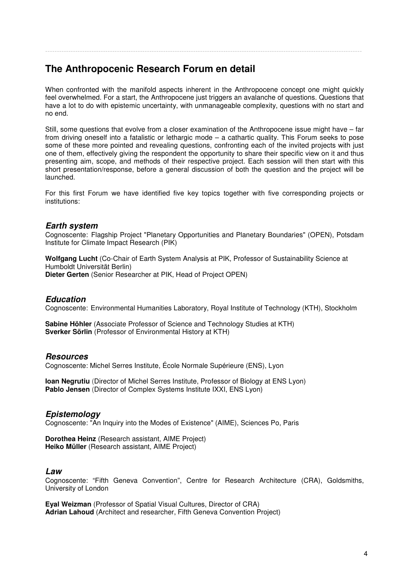### **The Anthropocenic Research Forum en detail**

When confronted with the manifold aspects inherent in the Anthropocene concept one might quickly feel overwhelmed. For a start, the Anthropocene just triggers an avalanche of questions. Questions that have a lot to do with epistemic uncertainty, with unmanageable complexity, questions with no start and no end.

-----------------------------------------------------------------------------------------------------------------------------------------

Still, some questions that evolve from a closer examination of the Anthropocene issue might have – far from driving oneself into a fatalistic or lethargic mode – a cathartic quality. This Forum seeks to pose some of these more pointed and revealing questions, confronting each of the invited projects with just one of them, effectively giving the respondent the opportunity to share their specific view on it and thus presenting aim, scope, and methods of their respective project. Each session will then start with this short presentation/response, before a general discussion of both the question and the project will be launched.

For this first Forum we have identified five key topics together with five corresponding projects or institutions:

#### **Earth system**

Cognoscente: Flagship Project "Planetary Opportunities and Planetary Boundaries" (OPEN), Potsdam Institute for Climate Impact Research (PIK)

**Wolfgang Lucht** (Co-Chair of Earth System Analysis at PIK, Professor of Sustainability Science at Humboldt Universität Berlin) **Dieter Gerten** (Senior Researcher at PIK, Head of Project OPEN)

#### **Education**

Cognoscente: Environmental Humanities Laboratory, Royal Institute of Technology (KTH), Stockholm

**Sabine Höhler** (Associate Professor of Science and Technology Studies at KTH) **Sverker Sörlin** (Professor of Environmental History at KTH)

#### **Resources**

Cognoscente: Michel Serres Institute, École Normale Supérieure (ENS), Lyon

**Ioan Negrutiu** (Director of Michel Serres Institute, Professor of Biology at ENS Lyon) **Pablo Jensen** (Director of Complex Systems Institute IXXI, ENS Lyon)

#### **Epistemology**

Cognoscente: "An Inquiry into the Modes of Existence" (AIME), Sciences Po, Paris

**Dorothea Heinz** (Research assistant, AIME Project) **Heiko Müller** (Research assistant, AIME Project)

#### **Law**

Cognoscente: "Fifth Geneva Convention", Centre for Research Architecture (CRA), Goldsmiths, University of London

**Eyal Weizman** (Professor of Spatial Visual Cultures, Director of CRA) **Adrian Lahoud** (Architect and researcher, Fifth Geneva Convention Project)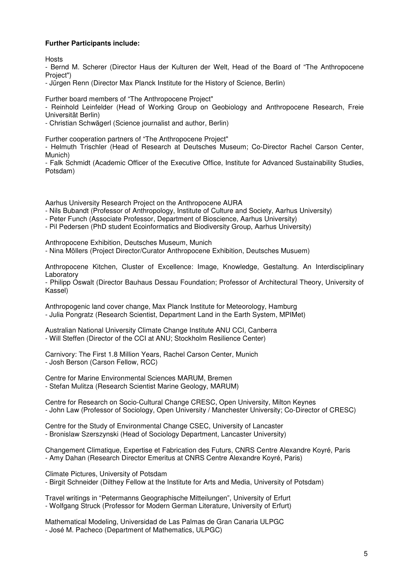#### **Further Participants include:**

Hosts

- Bernd M. Scherer (Director Haus der Kulturen der Welt, Head of the Board of "The Anthropocene Project")

- Jürgen Renn (Director Max Planck Institute for the History of Science, Berlin)

Further board members of "The Anthropocene Project"

- Reinhold Leinfelder (Head of Working Group on Geobiology and Anthropocene Research, Freie Universität Berlin)

- Christian Schwägerl (Science journalist and author, Berlin)

Further cooperation partners of "The Anthropocene Project"

- Helmuth Trischler (Head of Research at Deutsches Museum; Co-Director Rachel Carson Center, Munich)

- Falk Schmidt (Academic Officer of the Executive Office, Institute for Advanced Sustainability Studies, Potsdam)

Aarhus University Research Project on the Anthropocene AURA

- Nils Bubandt (Professor of Anthropology, Institute of Culture and Society, Aarhus University)

- Peter Funch (Associate Professor, Department of Bioscience, Aarhus University)

- Pil Pedersen (PhD student Ecoinformatics and Biodiversity Group, Aarhus University)

Anthropocene Exhibition, Deutsches Museum, Munich

- Nina Möllers (Project Director/Curator Anthropocene Exhibition, Deutsches Musuem)

Anthropocene Kitchen, Cluster of Excellence: Image, Knowledge, Gestaltung. An Interdisciplinary Laboratory

- Philipp Oswalt (Director Bauhaus Dessau Foundation; Professor of Architectural Theory, University of Kassel)

Anthropogenic land cover change, Max Planck Institute for Meteorology, Hamburg - Julia Pongratz (Research Scientist, Department Land in the Earth System, MPIMet)

Australian National University Climate Change Institute ANU CCI, Canberra - Will Steffen (Director of the CCI at ANU; Stockholm Resilience Center)

Carnivory: The First 1.8 Million Years, Rachel Carson Center, Munich - Josh Berson (Carson Fellow, RCC)

Centre for Marine Environmental Sciences MARUM, Bremen - Stefan Mulitza (Research Scientist Marine Geology, MARUM)

Centre for Research on Socio-Cultural Change CRESC, Open University, Milton Keynes - John Law (Professor of Sociology, Open University / Manchester University; Co-Director of CRESC)

Centre for the Study of Environmental Change CSEC, University of Lancaster - Bronislaw Szerszynski (Head of Sociology Department, Lancaster University)

Changement Climatique, Expertise et Fabrication des Futurs, CNRS Centre Alexandre Koyré, Paris - Amy Dahan (Research Director Emeritus at CNRS Centre Alexandre Koyré, Paris)

Climate Pictures, University of Potsdam - Birgit Schneider (Dilthey Fellow at the Institute for Arts and Media, University of Potsdam)

Travel writings in "Petermanns Geographische Mitteilungen", University of Erfurt - Wolfgang Struck (Professor for Modern German Literature, University of Erfurt)

Mathematical Modeling, Universidad de Las Palmas de Gran Canaria ULPGC - José M. Pacheco (Department of Mathematics, ULPGC)